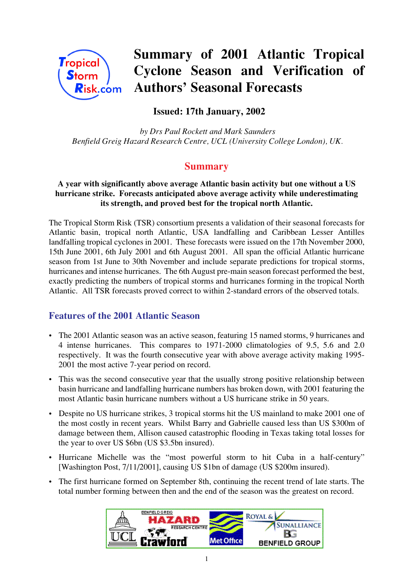

# **Summary of 2001 Atlantic Tropical Cyclone Season and Verification of Authors' Seasonal Forecasts**

# **Issued: 17th January, 2002**

 *by Drs Paul Rockett and Mark Saunders Benfield Greig Hazard Research Centre, UCL (University College London), UK.*

## **Summary**

#### **A year with significantly above average Atlantic basin activity but one without a US hurricane strike. Forecasts anticipated above average activity while underestimating its strength, and proved best for the tropical north Atlantic.**

The Tropical Storm Risk (TSR) consortium presents a validation of their seasonal forecasts for Atlantic basin, tropical north Atlantic, USA landfalling and Caribbean Lesser Antilles landfalling tropical cyclones in 2001. These forecasts were issued on the 17th November 2000, 15th June 2001, 6th July 2001 and 6th August 2001. All span the official Atlantic hurricane season from 1st June to 30th November and include separate predictions for tropical storms, hurricanes and intense hurricanes. The 6th August pre-main season forecast performed the best, exactly predicting the numbers of tropical storms and hurricanes forming in the tropical North Atlantic. All TSR forecasts proved correct to within 2-standard errors of the observed totals.

## **Features of the 2001 Atlantic Season**

- The 2001 Atlantic season was an active season, featuring 15 named storms, 9 hurricanes and 4 intense hurricanes. This compares to 1971-2000 climatologies of 9.5, 5.6 and 2.0 respectively. It was the fourth consecutive year with above average activity making 1995- 2001 the most active 7-year period on record.
- This was the second consecutive year that the usually strong positive relationship between basin hurricane and landfalling hurricane numbers has broken down, with 2001 featuring the most Atlantic basin hurricane numbers without a US hurricane strike in 50 years.
- Despite no US hurricane strikes, 3 tropical storms hit the US mainland to make 2001 one of the most costly in recent years. Whilst Barry and Gabrielle caused less than US \$300m of damage between them, Allison caused catastrophic flooding in Texas taking total losses for the year to over US \$6bn (US \$3.5bn insured).
- Hurricane Michelle was the "most powerful storm to hit Cuba in a half-century" [Washington Post, 7/11/2001], causing US \$1bn of damage (US \$200m insured).
- The first hurricane formed on September 8th, continuing the recent trend of late starts. The total number forming between then and the end of the season was the greatest on record.

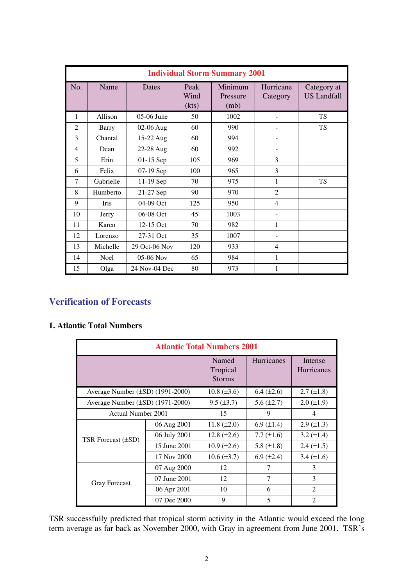|                | <b>Individual Storm Summary 2001</b> |               |                       |                             |                       |                                   |  |
|----------------|--------------------------------------|---------------|-----------------------|-----------------------------|-----------------------|-----------------------------------|--|
| No.            | Name                                 | Dates         | Peak<br>Wind<br>(kts) | Minimum<br>Pressure<br>(mb) | Hurricane<br>Category | Category at<br><b>US Landfall</b> |  |
| 1              | Allison                              | 05-06 June    | 50                    | 1002                        |                       | <b>TS</b>                         |  |
| $\overline{2}$ | Barry                                | 02-06 Aug     | 60                    | 990                         |                       | <b>TS</b>                         |  |
| 3              | Chantal                              | 15-22 Aug     | 60                    | 994                         |                       |                                   |  |
| 4              | Dean                                 | 22-28 Aug     | 60                    | 992                         |                       |                                   |  |
| 5              | Erin                                 | $01-15$ Sep   | 105                   | 969                         | 3                     |                                   |  |
| 6              | Felix                                | 07-19 Sep     | 100                   | 965                         | 3                     |                                   |  |
| 7              | Gabrielle                            | 11-19 Sep     | 70                    | 975                         | 1                     | <b>TS</b>                         |  |
| 8              | Humberto                             | 21-27 Sep     | 90                    | 970                         | $\overline{2}$        |                                   |  |
| 9              | <b>Iris</b>                          | 04-09 Oct     | 125                   | 950                         | 4                     |                                   |  |
| 10             | Jerry                                | 06-08 Oct     | 45                    | 1003                        |                       |                                   |  |
| 11             | Karen                                | 12-15 Oct     | 70                    | 982                         | 1                     |                                   |  |
| 12             | Lorenzo                              | 27-31 Oct     | 35                    | 1007                        |                       |                                   |  |
| 13             | Michelle                             | 29 Oct-06 Nov | 120                   | 933                         | 4                     |                                   |  |
| 14             | <b>Noel</b>                          | $05-06$ Nov   | 65                    | 984                         | 1                     |                                   |  |
| 15             | Olga                                 | 24 Nov-04 Dec | 80                    | 973                         | 1                     |                                   |  |

# **Verification of Forecasts**

#### **1. Atlantic Total Numbers**

| <b>Atlantic Total Numbers 2001</b>    |                                    |                    |                              |                   |  |  |
|---------------------------------------|------------------------------------|--------------------|------------------------------|-------------------|--|--|
|                                       | Named<br>Tropical<br><b>Storms</b> | <b>Hurricanes</b>  | Intense<br><b>Hurricanes</b> |                   |  |  |
| Average Number $(\pm SD)$ (1991-2000) |                                    | $10.8 (\pm 3.6)$   | $6.4 \ (\pm 2.6)$            | $2.7 \ (\pm 1.8)$ |  |  |
| Average Number $(\pm SD)$ (1971-2000) |                                    | $9.5 \ (\pm 3.7)$  | $5.6 \, (\pm 2.7)$           | $2.0 \ (\pm 1.9)$ |  |  |
| Actual Number 2001                    |                                    | 15                 | 9                            | 4                 |  |  |
|                                       | 06 Aug 2001                        | 11.8 $(\pm 2.0)$   | $6.9 \ (\pm 1.4)$            | $2.9 \ (\pm 1.3)$ |  |  |
| TSR Forecast (±SD)                    | 06 July 2001                       | 12.8 $(\pm 2.6)$   | 7.7 $(\pm 1.6)$              | $3.2 \ (\pm 1.4)$ |  |  |
|                                       | 15 June 2001                       | $10.9 \ (\pm 2.6)$ | 5.8 $(\pm 1.8)$              | $2.4 \ (\pm 1.5)$ |  |  |
|                                       | 17 Nov 2000                        | $10.6 (\pm 3.7)$   | $6.9 \ (\pm 2.4)$            | 3.4 $(\pm 1.6)$   |  |  |
|                                       | 07 Aug 2000                        | 12                 | 7                            | 3                 |  |  |
| <b>Gray Forecast</b>                  | 07 June 2001                       | 12                 | 7                            | 3                 |  |  |
|                                       | 06 Apr 2001                        | 10                 | 6                            | $\overline{2}$    |  |  |
|                                       | 07 Dec 2000                        | 9                  | 5                            | $\mathfrak{D}$    |  |  |

TSR successfully predicted that tropical storm activity in the Atlantic would exceed the long term average as far back as November 2000, with Gray in agreement from June 2001. TSR's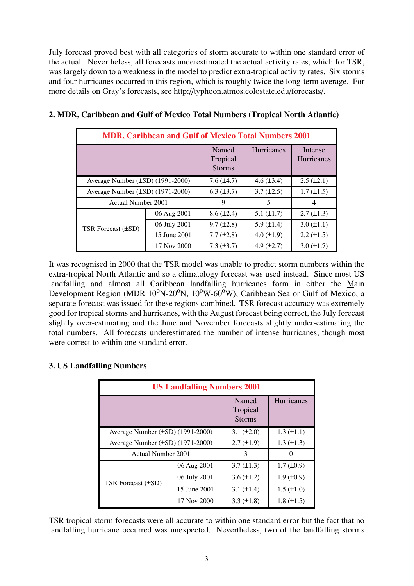July forecast proved best with all categories of storm accurate to within one standard error of the actual. Nevertheless, all forecasts underestimated the actual activity rates, which for TSR, was largely down to a weakness in the model to predict extra-tropical activity rates. Six storms and four hurricanes occurred in this region, which is roughly twice the long-term average. For more details on Gray's forecasts, see http://typhoon.atmos.colostate.edu/forecasts/.

| <b>MDR, Caribbean and Gulf of Mexico Total Numbers 2001</b> |              |                                    |                 |                              |  |  |
|-------------------------------------------------------------|--------------|------------------------------------|-----------------|------------------------------|--|--|
|                                                             |              | Named<br>Tropical<br><b>Storms</b> | Hurricanes      | Intense<br><b>Hurricanes</b> |  |  |
| Average Number $(\pm SD)$ (1991-2000)                       |              | $7.6 \ (\pm 4.7)$                  | 4.6 $(\pm 3.4)$ | $2.5 (\pm 2.1)$              |  |  |
| Average Number (±SD) (1971-2000)                            |              | $6.3 \ (\pm 3.7)$                  | $3.7 (\pm 2.5)$ | $1.7 (\pm 1.5)$              |  |  |
| Actual Number 2001                                          |              | 9                                  | 5               | 4                            |  |  |
|                                                             | 06 Aug 2001  | $8.6 (\pm 2.4)$                    | $5.1 (\pm 1.7)$ | $2.7 \ (\pm 1.3)$            |  |  |
| TSR Forecast (±SD)                                          | 06 July 2001 | $9.7 (\pm 2.8)$                    | 5.9 $(\pm 1.4)$ | $3.0 (\pm 1.1)$              |  |  |
|                                                             | 15 June 2001 | 7.7 $(\pm 2.8)$                    | 4.0 $(\pm 1.9)$ | $2.2 \ (\pm 1.5)$            |  |  |
|                                                             | 17 Nov 2000  | $7.3 \ (\pm 3.7)$                  | 4.9 $(\pm 2.7)$ | $3.0 (\pm 1.7)$              |  |  |

|  |  |  |  | 2. MDR, Caribbean and Gulf of Mexico Total Numbers (Tropical North Atlantic) |
|--|--|--|--|------------------------------------------------------------------------------|
|  |  |  |  |                                                                              |

It was recognised in 2000 that the TSR model was unable to predict storm numbers within the extra-tropical North Atlantic and so a climatology forecast was used instead. Since most US landfalling and almost all Caribbean landfalling hurricanes form in either the Main Development Region (MDR  $10^{o}N-20^{o}N$ ,  $10^{o}W-60^{o}W$ ), Caribbean Sea or Gulf of Mexico, a separate forecast was issued for these regions combined. TSR forecast accuracy was extremely good for tropical storms and hurricanes, with the August forecast being correct, the July forecast slightly over-estimating and the June and November forecasts slightly under-estimating the total numbers. All forecasts underestimated the number of intense hurricanes, though most were correct to within one standard error.

## **3. US Landfalling Numbers**

| <b>US Landfalling Numbers 2001</b> |                                    |                   |                   |  |  |  |  |
|------------------------------------|------------------------------------|-------------------|-------------------|--|--|--|--|
|                                    | Named<br>Tropical<br><b>Storms</b> | Hurricanes        |                   |  |  |  |  |
| Average Number (±SD) (1991-2000)   | 3.1 $(\pm 2.0)$                    | $1.3 \ (\pm 1.1)$ |                   |  |  |  |  |
| Average Number (±SD) (1971-2000)   |                                    | $2.7 (\pm 1.9)$   | $1.3 \ (\pm 1.3)$ |  |  |  |  |
| Actual Number 2001                 | 3                                  | 0                 |                   |  |  |  |  |
|                                    | 06 Aug 2001                        | $3.7 (\pm 1.3)$   | $1.7 \ (\pm 0.9)$ |  |  |  |  |
| TSR Forecast (±SD)                 | 06 July 2001                       | $3.6 \ (\pm 1.2)$ | $1.9 \ (\pm 0.9)$ |  |  |  |  |
|                                    | 15 June 2001                       | 3.1 $(\pm 1.4)$   | $1.5 (\pm 1.0)$   |  |  |  |  |
|                                    | 17 Nov 2000                        | 3.3 $(\pm 1.8)$   | $1.8 \ (\pm 1.5)$ |  |  |  |  |

TSR tropical storm forecasts were all accurate to within one standard error but the fact that no landfalling hurricane occurred was unexpected. Nevertheless, two of the landfalling storms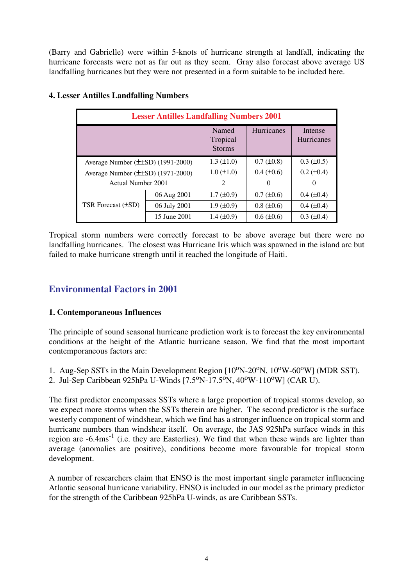(Barry and Gabrielle) were within 5-knots of hurricane strength at landfall, indicating the hurricane forecasts were not as far out as they seem. Gray also forecast above average US landfalling hurricanes but they were not presented in a form suitable to be included here.

| <b>Lesser Antilles Landfalling Numbers 2001</b> |                          |                                    |                   |                              |  |  |  |
|-------------------------------------------------|--------------------------|------------------------------------|-------------------|------------------------------|--|--|--|
|                                                 |                          | Named<br>Tropical<br><b>Storms</b> | <b>Hurricanes</b> | Intense<br><b>Hurricanes</b> |  |  |  |
| Average Number $(\pm \pm SD)$ (1991-2000)       |                          | $1.3 \ (\pm 1.0)$                  | $0.7 (\pm 0.8)$   | $0.3 \ (\pm 0.5)$            |  |  |  |
| Average Number $(\pm \pm SD)$ (1971-2000)       |                          | $1.0 (\pm 1.0)$                    | $0.4 \ (\pm 0.6)$ | $0.2 \ (\pm 0.4)$            |  |  |  |
| Actual Number 2001                              | $\overline{\mathcal{L}}$ | $\Omega$                           | $\theta$          |                              |  |  |  |
|                                                 | 06 Aug 2001              | $1.7 \ (\pm 0.9)$                  | $0.7 (\pm 0.6)$   | $0.4 \ (\pm 0.4)$            |  |  |  |
| <b>TSR Forecast (±SD)</b>                       | 06 July 2001             | $1.9 \ (\pm 0.9)$                  | $0.8 (\pm 0.6)$   | $0.4 \ (\pm 0.4)$            |  |  |  |
|                                                 | 15 June 2001             | $1.4 \ (\pm 0.9)$                  | $0.6 \ (\pm 0.6)$ | $0.3 (\pm 0.4)$              |  |  |  |

#### **4. Lesser Antilles Landfalling Numbers**

Tropical storm numbers were correctly forecast to be above average but there were no landfalling hurricanes. The closest was Hurricane Iris which was spawned in the island arc but failed to make hurricane strength until it reached the longitude of Haiti.

## **Environmental Factors in 2001**

#### **1. Contemporaneous Influences**

The principle of sound seasonal hurricane prediction work is to forecast the key environmental conditions at the height of the Atlantic hurricane season. We find that the most important contemporaneous factors are:

- 1. Aug-Sep SSTs in the Main Development Region  $[10^{\circ}N-20^{\circ}N, 10^{\circ}W-60^{\circ}W]$  (MDR SST).
- 2. Jul-Sep Caribbean 925hPa U-Winds [7.5°N-17.5°N, 40°W-110°W] (CAR U).

The first predictor encompasses SSTs where a large proportion of tropical storms develop, so we expect more storms when the SSTs therein are higher. The second predictor is the surface westerly component of windshear, which we find has a stronger influence on tropical storm and hurricane numbers than windshear itself. On average, the JAS 925hPa surface winds in this region are  $-6.4 \text{ms}^{-1}$  (i.e. they are Easterlies). We find that when these winds are lighter than average (anomalies are positive), conditions become more favourable for tropical storm development.

A number of researchers claim that ENSO is the most important single parameter influencing Atlantic seasonal hurricane variability. ENSO is included in our model as the primary predictor for the strength of the Caribbean 925hPa U-winds, as are Caribbean SSTs.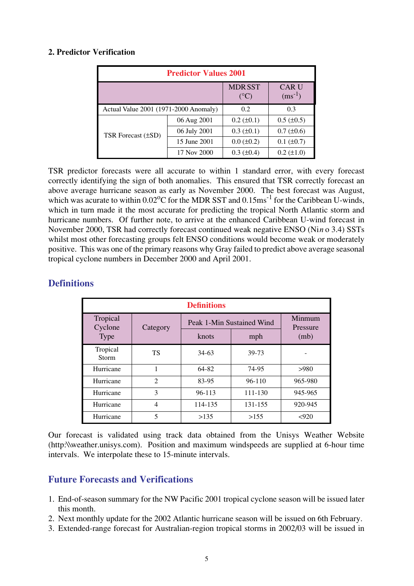#### **2. Predictor Verification**

| <b>Predictor Values 2001</b>          |              |                                |                             |  |  |  |  |
|---------------------------------------|--------------|--------------------------------|-----------------------------|--|--|--|--|
|                                       |              | <b>MDRSST</b><br>$(^{\circ}C)$ | <b>CAR U</b><br>$(ms^{-1})$ |  |  |  |  |
| Actual Value 2001 (1971-2000 Anomaly) | 0.2          | 0.3                            |                             |  |  |  |  |
|                                       | 06 Aug 2001  | $0.2 \ (\pm 0.1)$              | $0.5 \ (\pm 0.5)$           |  |  |  |  |
| TSR Forecast (±SD)                    | 06 July 2001 | $0.3 (\pm 0.1)$                | $0.7 (\pm 0.6)$             |  |  |  |  |
|                                       | 15 June 2001 | $0.0 (\pm 0.2)$                | $0.1 (\pm 0.7)$             |  |  |  |  |
|                                       | 17 Nov 2000  | $0.3 \ (\pm 0.4)$              | $0.2 (\pm 1.0)$             |  |  |  |  |

TSR predictor forecasts were all accurate to within 1 standard error, with every forecast correctly identifying the sign of both anomalies. This ensured that TSR correctly forecast an above average hurricane season as early as November 2000. The best forecast was August, which was acurate to within  $0.02^{\circ}$ C for the MDR SST and  $0.15$ ms<sup>-1</sup> for the Caribbean U-winds, which in turn made it the most accurate for predicting the tropical North Atlantic storm and hurricane numbers. Of further note, to arrive at the enhanced Caribbean U-wind forecast in November 2000, TSR had correctly forecast continued weak negative ENSO (Nin o 3.4) SSTs whilst most other forecasting groups felt ENSO conditions would become weak or moderately positive. This was one of the primary reasons why Gray failed to predict above average seasonal tropical cyclone numbers in December 2000 and April 2001.

| <b>Definitions</b>       |                |                           |                    |         |  |  |  |
|--------------------------|----------------|---------------------------|--------------------|---------|--|--|--|
| Tropical<br>Cyclone      | Category       | Peak 1-Min Sustained Wind | Minmum<br>Pressure |         |  |  |  |
| <b>Type</b>              |                | knots                     | mph                | (mb)    |  |  |  |
| Tropical<br><b>Storm</b> | TS             | $34-63$                   | 39-73              |         |  |  |  |
| Hurricane                | 1              | 64-82                     | 74-95              | >980    |  |  |  |
| Hurricane                | $\mathfrak{D}$ | 83-95                     | $96-110$           | 965-980 |  |  |  |
| Hurricane                | 3              | $96 - 113$                | $111 - 130$        | 945-965 |  |  |  |
| Hurricane                | 4              | 114-135                   | 131-155            | 920-945 |  |  |  |
| Hurricane                | 5              | >135                      | >155               | < 920   |  |  |  |

## **Definitions**

Our forecast is validated using track data obtained from the Unisys Weather Website (http:\\weather.unisys.com). Position and maximum windspeeds are supplied at 6-hour time intervals. We interpolate these to 15-minute intervals.

## **Future Forecasts and Verifications**

- 1. End-of-season summary for the NW Pacific 2001 tropical cyclone season will be issued later this month.
- 2. Next monthly update for the 2002 Atlantic hurricane season will be issued on 6th February.
- 3. Extended-range forecast for Australian-region tropical storms in 2002/03 will be issued in